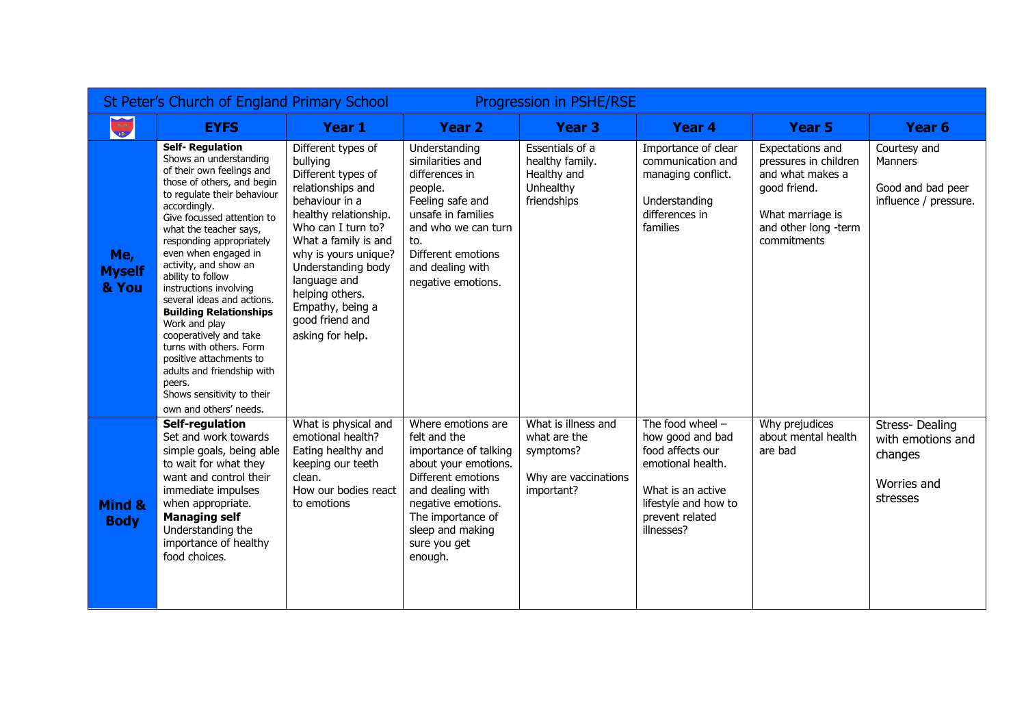| St Peter's Church of England Primary School<br><b>Progression in PSHE/RSE</b> |                                                                                                                                                                                                                                                                                                                                                                                                                                                                                                                                                                                                                |                                                                                                                                                                                                                                                                                                                |                                                                                                                                                                                                                         |                                                                                        |                                                                                                                                                               |                                                                                                                                          |                                                                           |  |  |  |
|-------------------------------------------------------------------------------|----------------------------------------------------------------------------------------------------------------------------------------------------------------------------------------------------------------------------------------------------------------------------------------------------------------------------------------------------------------------------------------------------------------------------------------------------------------------------------------------------------------------------------------------------------------------------------------------------------------|----------------------------------------------------------------------------------------------------------------------------------------------------------------------------------------------------------------------------------------------------------------------------------------------------------------|-------------------------------------------------------------------------------------------------------------------------------------------------------------------------------------------------------------------------|----------------------------------------------------------------------------------------|---------------------------------------------------------------------------------------------------------------------------------------------------------------|------------------------------------------------------------------------------------------------------------------------------------------|---------------------------------------------------------------------------|--|--|--|
|                                                                               | <b>EYFS</b>                                                                                                                                                                                                                                                                                                                                                                                                                                                                                                                                                                                                    | <b>Year 1</b>                                                                                                                                                                                                                                                                                                  | <b>Year 2</b>                                                                                                                                                                                                           | Year <sub>3</sub>                                                                      | Year 4                                                                                                                                                        | <b>Year 5</b>                                                                                                                            | Year <sub>6</sub>                                                         |  |  |  |
| Me,<br><b>Myself</b><br>& You                                                 | <b>Self-Regulation</b><br>Shows an understanding<br>of their own feelings and<br>those of others, and begin<br>to regulate their behaviour<br>accordingly.<br>Give focussed attention to<br>what the teacher says,<br>responding appropriately<br>even when engaged in<br>activity, and show an<br>ability to follow<br>instructions involving<br>several ideas and actions.<br><b>Building Relationships</b><br>Work and play<br>cooperatively and take<br>turns with others. Form<br>positive attachments to<br>adults and friendship with<br>peers.<br>Shows sensitivity to their<br>own and others' needs. | Different types of<br>bullying<br>Different types of<br>relationships and<br>behaviour in a<br>healthy relationship.<br>Who can I turn to?<br>What a family is and<br>why is yours unique?<br>Understanding body<br>language and<br>helping others.<br>Empathy, being a<br>good friend and<br>asking for help. | Understanding<br>similarities and<br>differences in<br>people.<br>Feeling safe and<br>unsafe in families<br>and who we can turn<br>to.<br>Different emotions<br>and dealing with<br>negative emotions.                  | Essentials of a<br>healthy family.<br>Healthy and<br>Unhealthy<br>friendships          | Importance of clear<br>communication and<br>managing conflict.<br>Understanding<br>differences in<br>families                                                 | Expectations and<br>pressures in children<br>and what makes a<br>good friend.<br>What marriage is<br>and other long -term<br>commitments | Courtesy and<br>Manners<br>Good and bad peer<br>influence / pressure.     |  |  |  |
| Mind &<br><b>Body</b>                                                         | <b>Self-regulation</b><br>Set and work towards<br>simple goals, being able<br>to wait for what they<br>want and control their<br>immediate impulses<br>when appropriate.<br><b>Managing self</b><br>Understanding the<br>importance of healthy<br>food choices.                                                                                                                                                                                                                                                                                                                                                | What is physical and<br>emotional health?<br>Eating healthy and<br>keeping our teeth<br>clean.<br>How our bodies react<br>to emotions                                                                                                                                                                          | Where emotions are<br>felt and the<br>importance of talking<br>about your emotions.<br>Different emotions<br>and dealing with<br>negative emotions.<br>The importance of<br>sleep and making<br>sure you get<br>enough. | What is illness and<br>what are the<br>symptoms?<br>Why are vaccinations<br>important? | The food wheel $-$<br>how good and bad<br>food affects our<br>emotional health.<br>What is an active<br>lifestyle and how to<br>prevent related<br>illnesses? | Why prejudices<br>about mental health<br>are bad                                                                                         | Stress-Dealing<br>with emotions and<br>changes<br>Worries and<br>stresses |  |  |  |